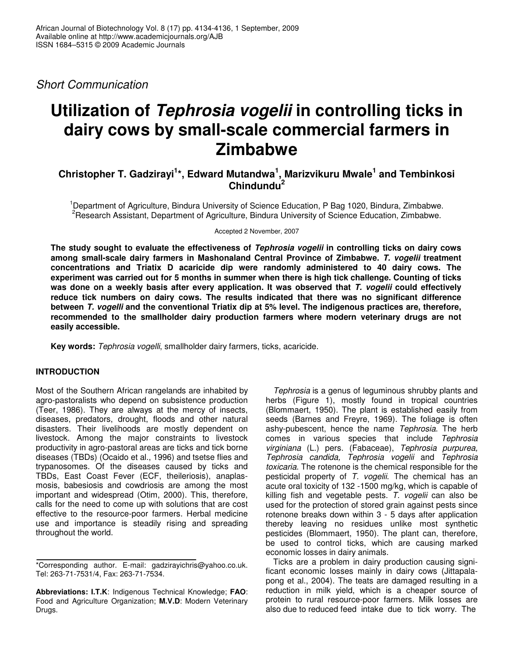*Short Communication*

# **Utilization of** *Tephrosia vogelii* **in controlling ticks in dairy cows by small-scale commercial farmers in Zimbabwe**

**Christopher T. Gadzirayi 1 \*, Edward Mutandwa 1 , Marizvikuru Mwale 1 and Tembinkosi Chindundu 2**

<sup>1</sup>Department of Agriculture, Bindura University of Science Education, P Bag 1020, Bindura, Zimbabwe. <sup>2</sup>Research Assistant, Department of Agriculture, Bindura University of Science Education, Zimbabwe.

Accepted 2 November, 2007

**The study sought to evaluate the effectiveness of** *Tephrosia vogelii* **in controlling ticks on dairy cows among small-scale dairy farmers in Mashonaland Central Province of Zimbabwe.** *T. vogelii* **treatment concentrations and Triatix D acaricide dip were randomly administered to 40 dairy cows. The** experiment was carried out for 5 months in summer when there is high tick challenge. Counting of ticks **was done on a weekly basis after every application. It was observed that** *T. vogelii* **could effectively reduce tick numbers on dairy cows. The results indicated that there was no significant difference between** *T. vogelli* **and the conventional Triatix dip at 5% level. The indigenous practices are, therefore, recommended to the smallholder dairy production farmers where modern veterinary drugs are not easily accessible.**

**Key words:** *Tephrosia vogelli*, smallholder dairy farmers, ticks, acaricide.

# **INTRODUCTION**

Most of the Southern African rangelands are inhabited by agro-pastoralists who depend on subsistence production (Teer, 1986). They are always at the mercy of insects, diseases, predators, drought, floods and other natural disasters. Their livelihoods are mostly dependent on livestock. Among the major constraints to livestock productivity in agro-pastoral areas are ticks and tick borne diseases (TBDs) (Ocaido et al., 1996) and tsetse flies and trypanosomes. Of the diseases caused by ticks and TBDs, East Coast Fever (ECF, theileriosis), anaplasmosis, babesiosis and cowdriosis are among the most important and widespread (Otim, 2000). This, therefore, calls for the need to come up with solutions that are cost effective to the resource-poor farmers. Herbal medicine use and importance is steadily rising and spreading throughout the world.

*Tephrosia* is a genus of leguminous shrubby plants and herbs (Figure 1), mostly found in tropical countries (Blommaert, 1950). The plant is established easily from seeds (Barnes and Freyre, 1969). The foliage is often ashy-pubescent, hence the name *Tephrosia*. The herb comes in various species that include *Tephrosia virginiana* (L.) pers. (Fabaceae), *Tephrosia purpurea, Tephrosia candida, Tephrosia vogelii* and *Tephrosia toxicaria*. The rotenone is the chemical responsible for the pesticidal property of *T. vogelii*. The chemical has an acute oral toxicity of 132 -1500 mg/kg, which is capable of killing fish and vegetable pests. *T. vogelii* can also be used for the protection of stored grain against pests since rotenone breaks down within 3 - 5 days after application thereby leaving no residues unlike most synthetic pesticides (Blommaert, 1950). The plant can, therefore, be used to control ticks, which are causing marked economic losses in dairy animals.

Ticks are a problem in dairy production causing significant economic losses mainly in dairy cows (Jittapalapong et al., 2004). The teats are damaged resulting in a reduction in milk yield, which is a cheaper source of protein to rural resource-poor farmers. Milk losses are also due to reduced feed intake due to tick worry. The

<sup>\*</sup>Corresponding author. E-mail: gadzirayichris@yahoo.co.uk. Tel: 263-71-7531/4, Fax: 263-71-7534.

**Abbreviations: I.T.K**: Indigenous Technical Knowledge; **FAO**: Food and Agriculture Organization; **M.V.D**: Modern Veterinary Drugs.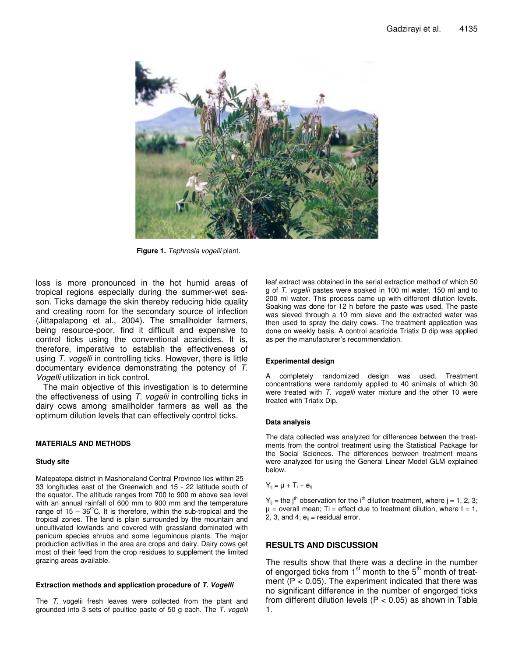

**Figure 1.** *Tephrosia vogelii* plant.

loss is more pronounced in the hot humid areas of tropical regions especially during the summer-wet season. Ticks damage the skin thereby reducing hide quality and creating room for the secondary source of infection (Jittapalapong et al., 2004). The smallholder farmers, being resource-poor, find it difficult and expensive to control ticks using the conventional acaricides. It is, therefore, imperative to establish the effectiveness of using *T. vogelli* in controlling ticks. However, there is little documentary evidence demonstrating the potency of *T. Vogelli* utilization in tick control.

The main objective of this investigation is to determine the effectiveness of using *T. vogelii* in controlling ticks in dairy cows among smallholder farmers as well as the optimum dilution levels that can effectively control ticks.

# **MATERIALS AND METHODS**

#### **Study site**

Matepatepa district in Mashonaland Central Province lies within 25 - 33 longitudes east of the Greenwich and 15 - 22 latitude south of the equator. The altitude ranges from 700 to 900 m above sea level with an annual rainfall of 600 mm to 900 mm and the temperature range of 15 – 36<sup>o</sup>C. It is therefore, within the sub-tropical and the tropical zones. The land is plain surrounded by the mountain and uncultivated lowlands and covered with grassland dominated with panicum species shrubs and some leguminous plants. The major production activities in the area are crops and dairy. Dairy cows get most of their feed from the crop residues to supplement the limited grazing areas available.

#### **Extraction methods and application procedure of** *T. Vogelli*

The *T.* vogelii fresh leaves were collected from the plant and grounded into 3 sets of poultice paste of 50 g each. The *T. vogelii* leaf extract was obtained in the serial extraction method of which 50 g of *T. vogelii* pastes were soaked in 100 ml water, 150 ml and to 200 ml water. This process came up with different dilution levels. Soaking was done for 12 h before the paste was used. The paste was sieved through a 10 mm sieve and the extracted water was then used to spray the dairy cows. The treatment application was done on weekly basis. A control acaricide Triatix D dip was applied as per the manufacturer's recommendation.

# **Experimental design**

A completely randomized design was used. Treatment concentrations were randomly applied to 40 animals of which 30 were treated with *T. vogelli* water mixture and the other 10 were treated with Triatix Dip.

#### **Data analysis**

The data collected was analyzed for differences between the treatments from the control treatment using the Statistical Package for the Social Sciences. The differences between treatment means were analyzed for using the General Linear Model GLM explained below.

$$
Y_{ij} = \mu + T_i + e_{ij}
$$

 $Y_{ij}$  = the j<sup>th</sup> observation for the i<sup>th</sup> dilution treatment, where j = 1, 2, 3;  $\mu$  = overall mean; Ti = effect due to treatment dilution, where  $I = 1$ , 2, 3, and 4;  $e_{ii}$  = residual error.

# **RESULTS AND DISCUSSION**

The results show that there was a decline in the number of engorged ticks from 1<sup>st</sup> month to the 5<sup>th</sup> month of treatment ( $P < 0.05$ ). The experiment indicated that there was no significant difference in the number of engorged ticks from different dilution levels ( $P < 0.05$ ) as shown in Table 1.